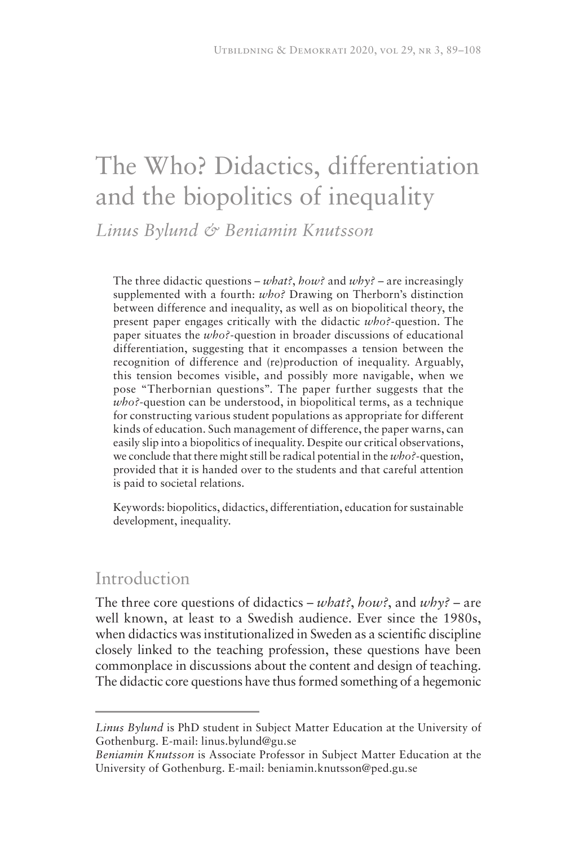# The Who? Didactics, differentiation and the biopolitics of inequality

*Linus Bylund & Beniamin Knutsson* 

The three didactic questions – *what?*, *how?* and *why?* – are increasingly supplemented with a fourth: *who?* Drawing on Therborn's distinction between difference and inequality, as well as on biopolitical theory, the present paper engages critically with the didactic *who?-*question. The paper situates the *who?-*question in broader discussions of educational differentiation, suggesting that it encompasses a tension between the recognition of difference and (re)production of inequality. Arguably, this tension becomes visible, and possibly more navigable, when we pose "Therbornian questions". The paper further suggests that the *who?*-question can be understood, in biopolitical terms, as a technique for constructing various student populations as appropriate for different kinds of education. Such management of difference, the paper warns, can easily slip into a biopolitics of inequality. Despite our critical observations, we conclude that there might still be radical potential in the *who?-*question, provided that it is handed over to the students and that careful attention is paid to societal relations.

Keywords: biopolitics, didactics, differentiation, education for sustainable development, inequality.

## Introduction

The three core questions of didactics – *what?*, *how?*, and *why?* – are well known, at least to a Swedish audience. Ever since the 1980s, when didactics was institutionalized in Sweden as a scientific discipline closely linked to the teaching profession, these questions have been commonplace in discussions about the content and design of teaching. The didactic core questions have thus formed something of a hegemonic

*Linus Bylund* is PhD student in Subject Matter Education at the University of Gothenburg. E-mail: linus.bylund@gu.se

*Beniamin Knutsson* is Associate Professor in Subject Matter Education at the University of Gothenburg. E-mail: beniamin.knutsson@ped.gu.se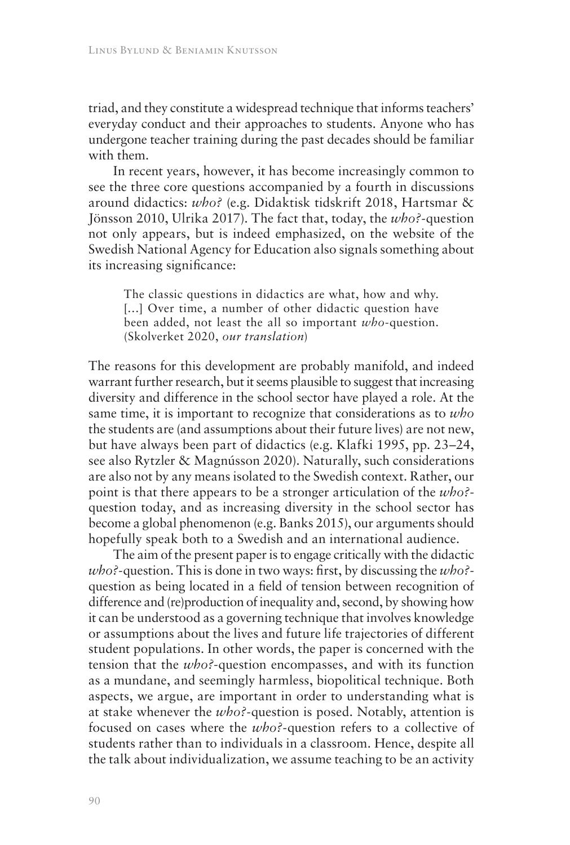triad, and they constitute a widespread technique that informs teachers' everyday conduct and their approaches to students. Anyone who has undergone teacher training during the past decades should be familiar with them.

In recent years, however, it has become increasingly common to see the three core questions accompanied by a fourth in discussions around didactics: *who?* (e.g. Didaktisk tidskrift 2018, Hartsmar & Jönsson 2010, Ulrika 2017). The fact that, today, the *who?-*question not only appears, but is indeed emphasized, on the website of the Swedish National Agency for Education also signals something about its increasing significance:

The classic questions in didactics are what, how and why. [...] Over time, a number of other didactic question have been added, not least the all so important *who*-question. (Skolverket 2020, *our translation*)

The reasons for this development are probably manifold, and indeed warrant further research, but it seems plausible to suggest that increasing diversity and difference in the school sector have played a role. At the same time, it is important to recognize that considerations as to *who* the students are (and assumptions about their future lives) are not new, but have always been part of didactics (e.g. Klafki 1995, pp. 23–24, see also Rytzler & Magnússon 2020). Naturally, such considerations are also not by any means isolated to the Swedish context. Rather, our point is that there appears to be a stronger articulation of the *who?* question today, and as increasing diversity in the school sector has become a global phenomenon (e.g. Banks 2015), our arguments should hopefully speak both to a Swedish and an international audience.

The aim of the present paper is to engage critically with the didactic *who?-*question. This is done in two ways: first, by discussing the *who?* question as being located in a field of tension between recognition of difference and (re)production of inequality and, second, by showing how it can be understood as a governing technique that involves knowledge or assumptions about the lives and future life trajectories of different student populations. In other words, the paper is concerned with the tension that the *who?*-question encompasses, and with its function as a mundane, and seemingly harmless, biopolitical technique. Both aspects, we argue, are important in order to understanding what is at stake whenever the *who?-*question is posed. Notably, attention is focused on cases where the *who?-*question refers to a collective of students rather than to individuals in a classroom. Hence, despite all the talk about individualization, we assume teaching to be an activity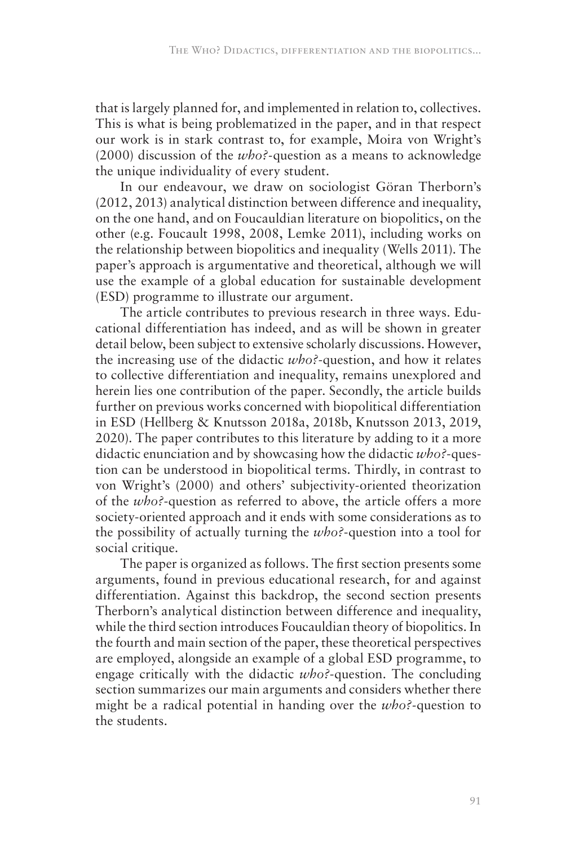that is largely planned for, and implemented in relation to, collectives. This is what is being problematized in the paper, and in that respect our work is in stark contrast to, for example, Moira von Wright's (2000) discussion of the *who?-*question as a means to acknowledge the unique individuality of every student.

In our endeavour, we draw on sociologist Göran Therborn's (2012, 2013) analytical distinction between difference and inequality, on the one hand, and on Foucauldian literature on biopolitics, on the other (e.g. Foucault 1998, 2008, Lemke 2011), including works on the relationship between biopolitics and inequality (Wells 2011). The paper's approach is argumentative and theoretical, although we will use the example of a global education for sustainable development (ESD) programme to illustrate our argument.

The article contributes to previous research in three ways. Educational differentiation has indeed, and as will be shown in greater detail below, been subject to extensive scholarly discussions. However, the increasing use of the didactic *who?*-question, and how it relates to collective differentiation and inequality, remains unexplored and herein lies one contribution of the paper. Secondly, the article builds further on previous works concerned with biopolitical differentiation in ESD (Hellberg & Knutsson 2018a, 2018b, Knutsson 2013, 2019, 2020). The paper contributes to this literature by adding to it a more didactic enunciation and by showcasing how the didactic *who?*-question can be understood in biopolitical terms. Thirdly, in contrast to von Wright's (2000) and others' subjectivity-oriented theorization of the *who?*-question as referred to above, the article offers a more society-oriented approach and it ends with some considerations as to the possibility of actually turning the *who?*-question into a tool for social critique.

The paper is organized as follows. The first section presents some arguments, found in previous educational research, for and against differentiation. Against this backdrop, the second section presents Therborn's analytical distinction between difference and inequality, while the third section introduces Foucauldian theory of biopolitics. In the fourth and main section of the paper, these theoretical perspectives are employed, alongside an example of a global ESD programme, to engage critically with the didactic *who?*-question. The concluding section summarizes our main arguments and considers whether there might be a radical potential in handing over the *who?-*question to the students.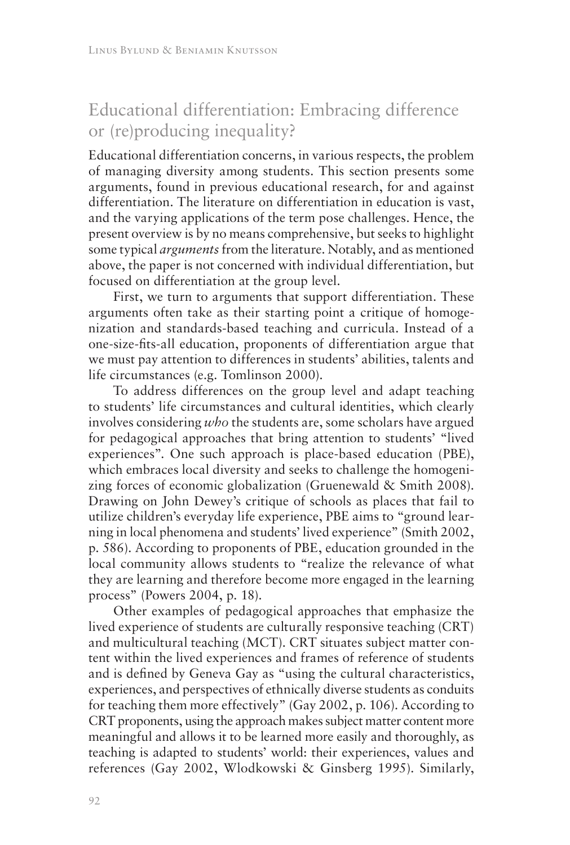# Educational differentiation: Embracing difference or (re)producing inequality?

Educational differentiation concerns, in various respects, the problem of managing diversity among students. This section presents some arguments, found in previous educational research, for and against differentiation. The literature on differentiation in education is vast, and the varying applications of the term pose challenges. Hence, the present overview is by no means comprehensive, but seeks to highlight some typical *arguments* from the literature. Notably, and as mentioned above, the paper is not concerned with individual differentiation, but focused on differentiation at the group level.

First, we turn to arguments that support differentiation. These arguments often take as their starting point a critique of homogenization and standards-based teaching and curricula. Instead of a one-size-fits-all education, proponents of differentiation argue that we must pay attention to differences in students' abilities, talents and life circumstances (e.g. Tomlinson 2000).

To address differences on the group level and adapt teaching to students' life circumstances and cultural identities, which clearly involves considering *who* the students are, some scholars have argued for pedagogical approaches that bring attention to students' "lived experiences". One such approach is place-based education (PBE), which embraces local diversity and seeks to challenge the homogenizing forces of economic globalization (Gruenewald & Smith 2008). Drawing on John Dewey's critique of schools as places that fail to utilize children's everyday life experience, PBE aims to "ground learning in local phenomena and students' lived experience" (Smith 2002, p. 586). According to proponents of PBE, education grounded in the local community allows students to "realize the relevance of what they are learning and therefore become more engaged in the learning process" (Powers 2004, p. 18).

Other examples of pedagogical approaches that emphasize the lived experience of students are culturally responsive teaching (CRT) and multicultural teaching (MCT). CRT situates subject matter content within the lived experiences and frames of reference of students and is defined by Geneva Gay as "using the cultural characteristics, experiences, and perspectives of ethnically diverse students as conduits for teaching them more effectively" (Gay 2002, p. 106). According to CRT proponents, using the approach makes subject matter content more meaningful and allows it to be learned more easily and thoroughly, as teaching is adapted to students' world: their experiences, values and references (Gay 2002, Wlodkowski & Ginsberg 1995). Similarly,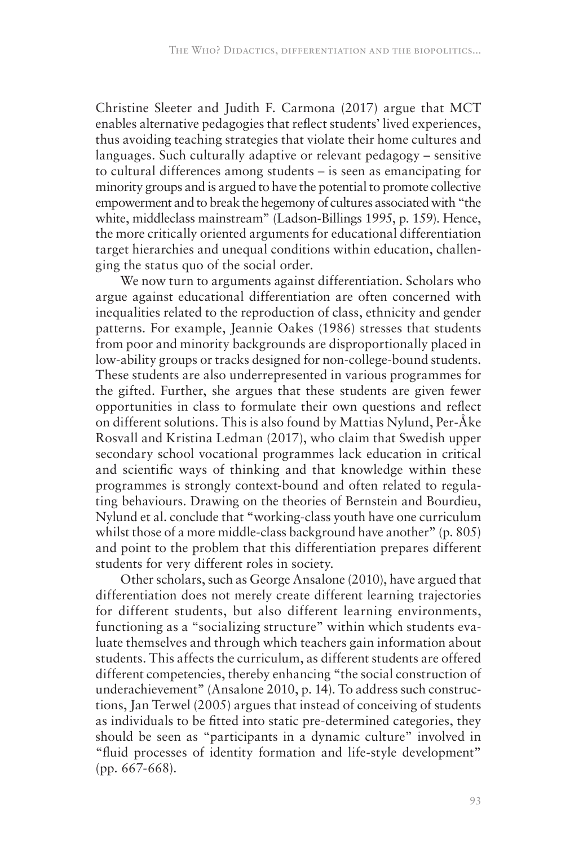Christine Sleeter and Judith F. Carmona (2017) argue that MCT enables alternative pedagogies that reflect students' lived experiences, thus avoiding teaching strategies that violate their home cultures and languages. Such culturally adaptive or relevant pedagogy – sensitive to cultural differences among students – is seen as emancipating for minority groups and is argued to have the potential to promote collective empowerment and to break the hegemony of cultures associated with "the white, middleclass mainstream" (Ladson-Billings 1995, p. 159). Hence, the more critically oriented arguments for educational differentiation target hierarchies and unequal conditions within education, challenging the status quo of the social order.

We now turn to arguments against differentiation. Scholars who argue against educational differentiation are often concerned with inequalities related to the reproduction of class, ethnicity and gender patterns. For example, Jeannie Oakes (1986) stresses that students from poor and minority backgrounds are disproportionally placed in low-ability groups or tracks designed for non-college-bound students. These students are also underrepresented in various programmes for the gifted. Further, she argues that these students are given fewer opportunities in class to formulate their own questions and reflect on different solutions. This is also found by Mattias Nylund, Per-Åke Rosvall and Kristina Ledman (2017), who claim that Swedish upper secondary school vocational programmes lack education in critical and scientific ways of thinking and that knowledge within these programmes is strongly context-bound and often related to regulating behaviours. Drawing on the theories of Bernstein and Bourdieu, Nylund et al. conclude that "working-class youth have one curriculum whilst those of a more middle-class background have another" (p. 805) and point to the problem that this differentiation prepares different students for very different roles in society.

Other scholars, such as George Ansalone (2010), have argued that differentiation does not merely create different learning trajectories for different students, but also different learning environments, functioning as a "socializing structure" within which students evaluate themselves and through which teachers gain information about students. This affects the curriculum, as different students are offered different competencies, thereby enhancing "the social construction of underachievement" (Ansalone 2010, p. 14). To address such constructions, Jan Terwel (2005) argues that instead of conceiving of students as individuals to be fitted into static pre-determined categories, they should be seen as "participants in a dynamic culture" involved in "fluid processes of identity formation and life-style development" (pp. 667-668).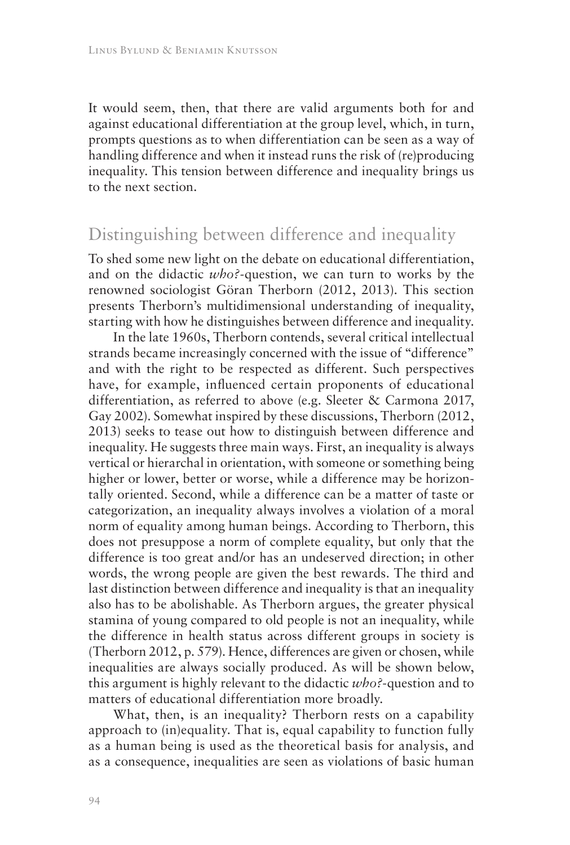It would seem, then, that there are valid arguments both for and against educational differentiation at the group level, which, in turn, prompts questions as to when differentiation can be seen as a way of handling difference and when it instead runs the risk of (re)producing inequality. This tension between difference and inequality brings us to the next section.

## Distinguishing between difference and inequality

To shed some new light on the debate on educational differentiation, and on the didactic *who?-*question, we can turn to works by the renowned sociologist Göran Therborn (2012, 2013). This section presents Therborn's multidimensional understanding of inequality, starting with how he distinguishes between difference and inequality.

In the late 1960s, Therborn contends, several critical intellectual strands became increasingly concerned with the issue of "difference" and with the right to be respected as different. Such perspectives have, for example, influenced certain proponents of educational differentiation, as referred to above (e.g. Sleeter & Carmona 2017, Gay 2002). Somewhat inspired by these discussions, Therborn (2012, 2013) seeks to tease out how to distinguish between difference and inequality. He suggests three main ways. First, an inequality is always vertical or hierarchal in orientation, with someone or something being higher or lower, better or worse, while a difference may be horizontally oriented. Second, while a difference can be a matter of taste or categorization, an inequality always involves a violation of a moral norm of equality among human beings. According to Therborn, this does not presuppose a norm of complete equality, but only that the difference is too great and/or has an undeserved direction; in other words, the wrong people are given the best rewards. The third and last distinction between difference and inequality is that an inequality also has to be abolishable. As Therborn argues, the greater physical stamina of young compared to old people is not an inequality, while the difference in health status across different groups in society is (Therborn 2012, p. 579). Hence, differences are given or chosen, while inequalities are always socially produced. As will be shown below, this argument is highly relevant to the didactic *who?*-question and to matters of educational differentiation more broadly.

What, then, is an inequality? Therborn rests on a capability approach to (in)equality. That is, equal capability to function fully as a human being is used as the theoretical basis for analysis, and as a consequence, inequalities are seen as violations of basic human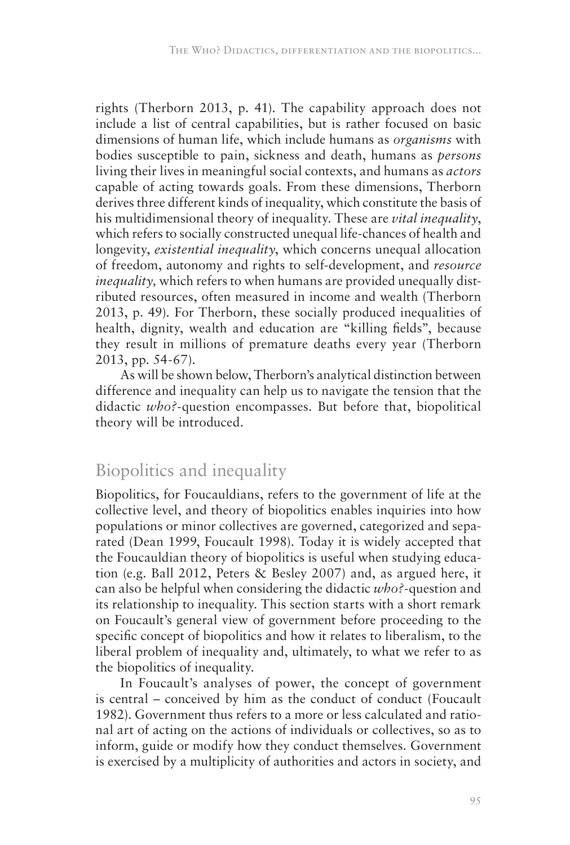rights (Therborn 2013, p. 41). The capability approach does not include a list of central capabilities, but is rather focused on basic dimensions of human life, which include humans as *organisms* with bodies susceptible to pain, sickness and death, humans as *persons* living their lives in meaningful social contexts, and humans as *actors* capable of acting towards goals. From these dimensions, Therborn derives three different kinds of inequality, which constitute the basis of his multidimensional theory of inequality. These are *vital inequality*, which refers to socially constructed unequal life-chances of health and longevity, *existential inequality*, which concerns unequal allocation of freedom, autonomy and rights to self-development, and *resource inequality,* which refers to when humans are provided unequally distributed resources, often measured in income and wealth (Therborn 2013, p. 49). For Therborn, these socially produced inequalities of health, dignity, wealth and education are "killing fields", because they result in millions of premature deaths every year (Therborn 2013, pp. 54-67).

As will be shown below, Therborn's analytical distinction between difference and inequality can help us to navigate the tension that the didactic *who?-*question encompasses. But before that, biopolitical theory will be introduced.

## Biopolitics and inequality

Biopolitics, for Foucauldians, refers to the government of life at the collective level, and theory of biopolitics enables inquiries into how populations or minor collectives are governed, categorized and separated (Dean 1999, Foucault 1998). Today it is widely accepted that the Foucauldian theory of biopolitics is useful when studying education (e.g. Ball 2012, Peters & Besley 2007) and, as argued here, it can also be helpful when considering the didactic *who?-*question and its relationship to inequality. This section starts with a short remark on Foucault's general view of government before proceeding to the specific concept of biopolitics and how it relates to liberalism, to the liberal problem of inequality and, ultimately, to what we refer to as the biopolitics of inequality.

In Foucault's analyses of power, the concept of government is central – conceived by him as the conduct of conduct (Foucault 1982). Government thus refers to a more or less calculated and rational art of acting on the actions of individuals or collectives, so as to inform, guide or modify how they conduct themselves. Government is exercised by a multiplicity of authorities and actors in society, and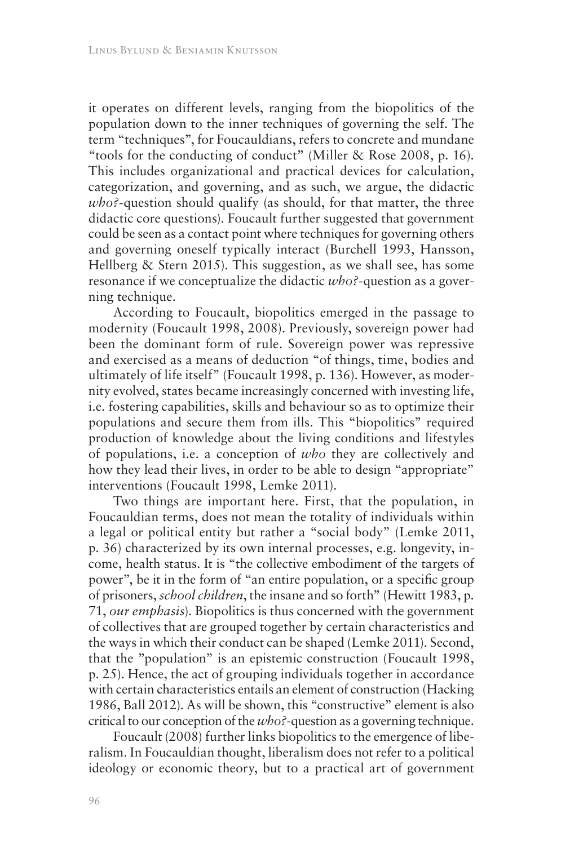it operates on different levels, ranging from the biopolitics of the population down to the inner techniques of governing the self. The term "techniques", for Foucauldians, refers to concrete and mundane "tools for the conducting of conduct" (Miller & Rose 2008, p. 16). This includes organizational and practical devices for calculation, categorization, and governing, and as such, we argue, the didactic *who?-*question should qualify (as should, for that matter, the three didactic core questions). Foucault further suggested that government could be seen as a contact point where techniques for governing others and governing oneself typically interact (Burchell 1993, Hansson, Hellberg & Stern 2015). This suggestion, as we shall see, has some resonance if we conceptualize the didactic *who?-*question as a governing technique.

According to Foucault, biopolitics emerged in the passage to modernity (Foucault 1998, 2008). Previously, sovereign power had been the dominant form of rule. Sovereign power was repressive and exercised as a means of deduction "of things, time, bodies and ultimately of life itself" (Foucault 1998, p. 136). However, as modernity evolved, states became increasingly concerned with investing life, i.e. fostering capabilities, skills and behaviour so as to optimize their populations and secure them from ills. This "biopolitics" required production of knowledge about the living conditions and lifestyles of populations, i.e. a conception of *who* they are collectively and how they lead their lives, in order to be able to design "appropriate" interventions (Foucault 1998, Lemke 2011).

Two things are important here. First, that the population, in Foucauldian terms, does not mean the totality of individuals within a legal or political entity but rather a "social body" (Lemke 2011, p. 36) characterized by its own internal processes, e.g. longevity, income, health status. It is "the collective embodiment of the targets of power", be it in the form of "an entire population, or a specific group of prisoners, *school children*, the insane and so forth" (Hewitt 1983, p. 71, *our emphasis*). Biopolitics is thus concerned with the government of collectives that are grouped together by certain characteristics and the ways in which their conduct can be shaped (Lemke 2011). Second, that the "population" is an epistemic construction (Foucault 1998, p. 25). Hence, the act of grouping individuals together in accordance with certain characteristics entails an element of construction (Hacking 1986, Ball 2012). As will be shown, this "constructive" element is also critical to our conception of the *who?-*question as a governing technique.

Foucault (2008) further links biopolitics to the emergence of liberalism. In Foucauldian thought, liberalism does not refer to a political ideology or economic theory, but to a practical art of government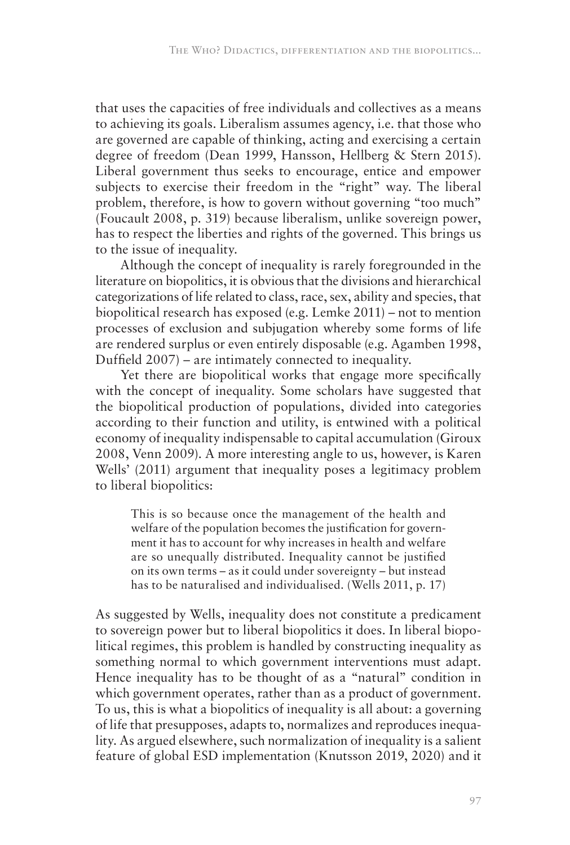that uses the capacities of free individuals and collectives as a means to achieving its goals. Liberalism assumes agency, i.e. that those who are governed are capable of thinking, acting and exercising a certain degree of freedom (Dean 1999, Hansson, Hellberg & Stern 2015). Liberal government thus seeks to encourage, entice and empower subjects to exercise their freedom in the "right" way. The liberal problem, therefore, is how to govern without governing "too much" (Foucault 2008, p. 319) because liberalism, unlike sovereign power, has to respect the liberties and rights of the governed. This brings us to the issue of inequality.

Although the concept of inequality is rarely foregrounded in the literature on biopolitics, it is obvious that the divisions and hierarchical categorizations of life related to class, race, sex, ability and species, that biopolitical research has exposed (e.g. Lemke 2011) – not to mention processes of exclusion and subjugation whereby some forms of life are rendered surplus or even entirely disposable (e.g. Agamben 1998, Duffield 2007) – are intimately connected to inequality.

Yet there are biopolitical works that engage more specifically with the concept of inequality. Some scholars have suggested that the biopolitical production of populations, divided into categories according to their function and utility, is entwined with a political economy of inequality indispensable to capital accumulation (Giroux 2008, Venn 2009). A more interesting angle to us, however, is Karen Wells' (2011) argument that inequality poses a legitimacy problem to liberal biopolitics:

This is so because once the management of the health and welfare of the population becomes the justification for government it has to account for why increases in health and welfare are so unequally distributed. Inequality cannot be justified on its own terms – as it could under sovereignty – but instead has to be naturalised and individualised. (Wells 2011, p. 17)

As suggested by Wells, inequality does not constitute a predicament to sovereign power but to liberal biopolitics it does. In liberal biopolitical regimes, this problem is handled by constructing inequality as something normal to which government interventions must adapt. Hence inequality has to be thought of as a "natural" condition in which government operates, rather than as a product of government. To us, this is what a biopolitics of inequality is all about: a governing of life that presupposes, adapts to, normalizes and reproduces inequality. As argued elsewhere, such normalization of inequality is a salient feature of global ESD implementation (Knutsson 2019, 2020) and it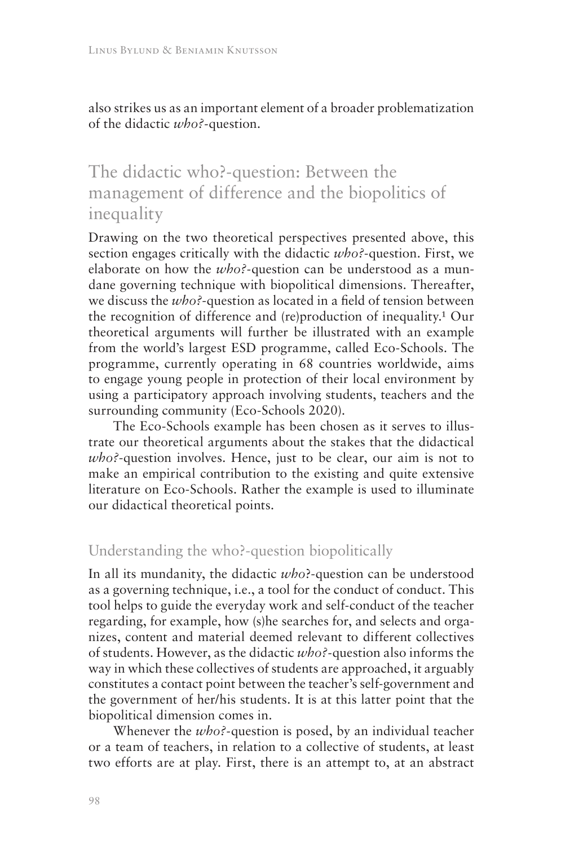also strikes us as an important element of a broader problematization of the didactic *who?-*question.

# The didactic who?-question: Between the management of difference and the biopolitics of inequality

Drawing on the two theoretical perspectives presented above, this section engages critically with the didactic *who?*-question. First, we elaborate on how the *who?-*question can be understood as a mundane governing technique with biopolitical dimensions. Thereafter, we discuss the *who?*-question as located in a field of tension between the recognition of difference and (re)production of inequality.<sup>1</sup> Our theoretical arguments will further be illustrated with an example from the world's largest ESD programme, called Eco-Schools. The programme, currently operating in 68 countries worldwide, aims to engage young people in protection of their local environment by using a participatory approach involving students, teachers and the surrounding community (Eco-Schools 2020).

The Eco-Schools example has been chosen as it serves to illustrate our theoretical arguments about the stakes that the didactical *who?*-question involves. Hence, just to be clear, our aim is not to make an empirical contribution to the existing and quite extensive literature on Eco-Schools. Rather the example is used to illuminate our didactical theoretical points.

#### Understanding the who?-question biopolitically

In all its mundanity, the didactic *who*?-question can be understood as a governing technique, i.e., a tool for the conduct of conduct. This tool helps to guide the everyday work and self-conduct of the teacher regarding, for example, how (s)he searches for, and selects and organizes, content and material deemed relevant to different collectives of students. However, as the didactic *who?-*question also informs the way in which these collectives of students are approached, it arguably constitutes a contact point between the teacher's self-government and the government of her/his students. It is at this latter point that the biopolitical dimension comes in.

Whenever the *who?-*question is posed, by an individual teacher or a team of teachers, in relation to a collective of students, at least two efforts are at play. First, there is an attempt to, at an abstract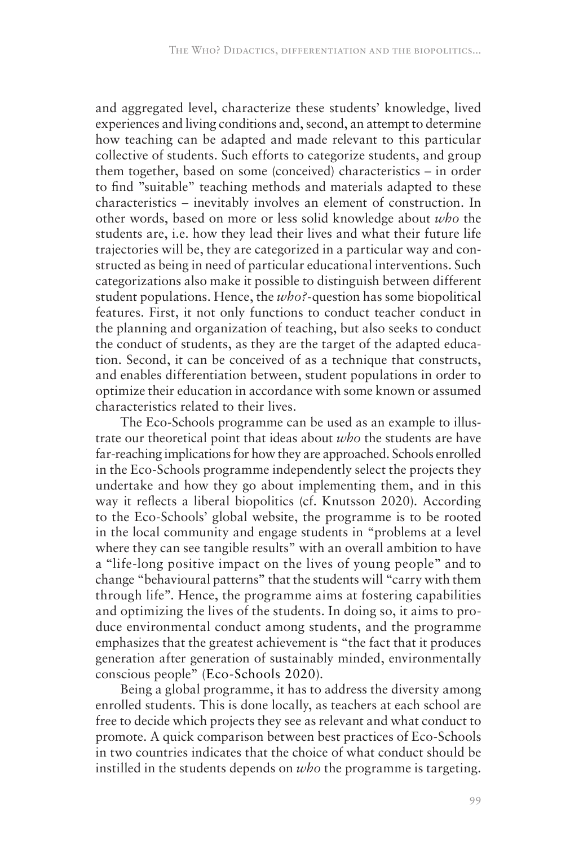and aggregated level, characterize these students' knowledge, lived experiences and living conditions and, second, an attempt to determine how teaching can be adapted and made relevant to this particular collective of students. Such efforts to categorize students, and group them together, based on some (conceived) characteristics – in order to find "suitable" teaching methods and materials adapted to these characteristics – inevitably involves an element of construction. In other words, based on more or less solid knowledge about *who* the students are, i.e. how they lead their lives and what their future life trajectories will be, they are categorized in a particular way and constructed as being in need of particular educational interventions. Such categorizations also make it possible to distinguish between different student populations. Hence, the *who?-*question has some biopolitical features. First, it not only functions to conduct teacher conduct in the planning and organization of teaching, but also seeks to conduct the conduct of students, as they are the target of the adapted education. Second, it can be conceived of as a technique that constructs, and enables differentiation between, student populations in order to optimize their education in accordance with some known or assumed characteristics related to their lives.

The Eco-Schools programme can be used as an example to illustrate our theoretical point that ideas about *who* the students are have far-reaching implications for how they are approached. Schools enrolled in the Eco-Schools programme independently select the projects they undertake and how they go about implementing them, and in this way it reflects a liberal biopolitics (cf. Knutsson 2020). According to the Eco-Schools' global website, the programme is to be rooted in the local community and engage students in "problems at a level where they can see tangible results" with an overall ambition to have a "life-long positive impact on the lives of young people" and to change "behavioural patterns" that the students will "carry with them through life". Hence, the programme aims at fostering capabilities and optimizing the lives of the students. In doing so, it aims to produce environmental conduct among students, and the programme emphasizes that the greatest achievement is "the fact that it produces generation after generation of sustainably minded, environmentally conscious people" (Eco-Schools 2020).

Being a global programme, it has to address the diversity among enrolled students. This is done locally, as teachers at each school are free to decide which projects they see as relevant and what conduct to promote. A quick comparison between best practices of Eco-Schools in two countries indicates that the choice of what conduct should be instilled in the students depends on *who* the programme is targeting.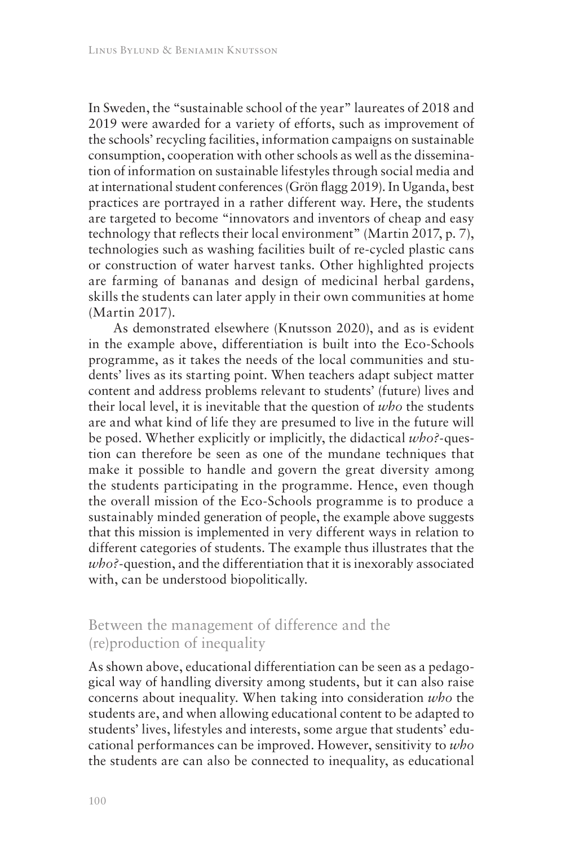In Sweden, the "sustainable school of the year" laureates of 2018 and 2019 were awarded for a variety of efforts, such as improvement of the schools' recycling facilities, information campaigns on sustainable consumption, cooperation with other schools as well as the dissemination of information on sustainable lifestyles through social media and at international student conferences (Grön flagg 2019). In Uganda, best practices are portrayed in a rather different way. Here, the students are targeted to become "innovators and inventors of cheap and easy technology that reflects their local environment" (Martin 2017, p. 7), technologies such as washing facilities built of re-cycled plastic cans or construction of water harvest tanks. Other highlighted projects are farming of bananas and design of medicinal herbal gardens, skills the students can later apply in their own communities at home (Martin 2017).

As demonstrated elsewhere (Knutsson 2020), and as is evident in the example above, differentiation is built into the Eco-Schools programme, as it takes the needs of the local communities and students' lives as its starting point. When teachers adapt subject matter content and address problems relevant to students' (future) lives and their local level, it is inevitable that the question of *who* the students are and what kind of life they are presumed to live in the future will be posed. Whether explicitly or implicitly, the didactical *who?-*question can therefore be seen as one of the mundane techniques that make it possible to handle and govern the great diversity among the students participating in the programme. Hence, even though the overall mission of the Eco-Schools programme is to produce a sustainably minded generation of people, the example above suggests that this mission is implemented in very different ways in relation to different categories of students. The example thus illustrates that the *who?-*question, and the differentiation that it is inexorably associated with, can be understood biopolitically.

### Between the management of difference and the (re)production of inequality

As shown above, educational differentiation can be seen as a pedagogical way of handling diversity among students, but it can also raise concerns about inequality. When taking into consideration *who* the students are, and when allowing educational content to be adapted to students' lives, lifestyles and interests, some argue that students' educational performances can be improved. However, sensitivity to *who* the students are can also be connected to inequality, as educational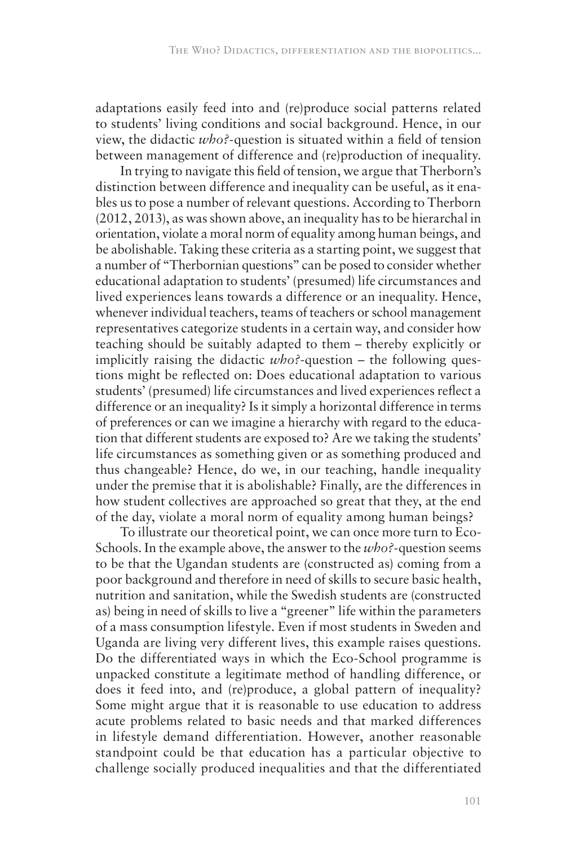adaptations easily feed into and (re)produce social patterns related to students' living conditions and social background. Hence, in our view, the didactic *who?-*question is situated within a field of tension between management of difference and (re)production of inequality.

In trying to navigate this field of tension, we argue that Therborn's distinction between difference and inequality can be useful, as it enables us to pose a number of relevant questions. According to Therborn (2012, 2013), as was shown above, an inequality has to be hierarchal in orientation, violate a moral norm of equality among human beings, and be abolishable. Taking these criteria as a starting point, we suggest that a number of "Therbornian questions" can be posed to consider whether educational adaptation to students' (presumed) life circumstances and lived experiences leans towards a difference or an inequality. Hence, whenever individual teachers, teams of teachers or school management representatives categorize students in a certain way, and consider how teaching should be suitably adapted to them – thereby explicitly or implicitly raising the didactic *who?*-question – the following questions might be reflected on: Does educational adaptation to various students' (presumed) life circumstances and lived experiences reflect a difference or an inequality? Is it simply a horizontal difference in terms of preferences or can we imagine a hierarchy with regard to the education that different students are exposed to? Are we taking the students' life circumstances as something given or as something produced and thus changeable? Hence, do we, in our teaching, handle inequality under the premise that it is abolishable? Finally, are the differences in how student collectives are approached so great that they, at the end of the day, violate a moral norm of equality among human beings?

To illustrate our theoretical point, we can once more turn to Eco-Schools. In the example above, the answer to the *who?-*question seems to be that the Ugandan students are (constructed as) coming from a poor background and therefore in need of skills to secure basic health, nutrition and sanitation, while the Swedish students are (constructed as) being in need of skills to live a "greener" life within the parameters of a mass consumption lifestyle. Even if most students in Sweden and Uganda are living very different lives, this example raises questions. Do the differentiated ways in which the Eco-School programme is unpacked constitute a legitimate method of handling difference, or does it feed into, and (re)produce, a global pattern of inequality? Some might argue that it is reasonable to use education to address acute problems related to basic needs and that marked differences in lifestyle demand differentiation. However, another reasonable standpoint could be that education has a particular objective to challenge socially produced inequalities and that the differentiated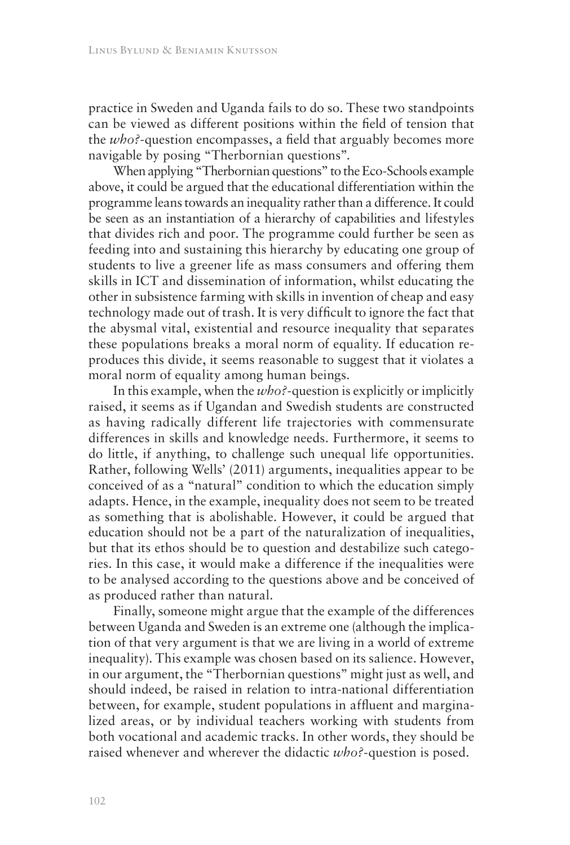practice in Sweden and Uganda fails to do so. These two standpoints can be viewed as different positions within the field of tension that the *who?*-question encompasses, a field that arguably becomes more navigable by posing "Therbornian questions".

When applying "Therbornian questions" to the Eco-Schools example above, it could be argued that the educational differentiation within the programme leans towards an inequality rather than a difference. It could be seen as an instantiation of a hierarchy of capabilities and lifestyles that divides rich and poor. The programme could further be seen as feeding into and sustaining this hierarchy by educating one group of students to live a greener life as mass consumers and offering them skills in ICT and dissemination of information, whilst educating the other in subsistence farming with skills in invention of cheap and easy technology made out of trash. It is very difficult to ignore the fact that the abysmal vital, existential and resource inequality that separates these populations breaks a moral norm of equality. If education reproduces this divide, it seems reasonable to suggest that it violates a moral norm of equality among human beings.

In this example, when the *who?-*question is explicitly or implicitly raised, it seems as if Ugandan and Swedish students are constructed as having radically different life trajectories with commensurate differences in skills and knowledge needs. Furthermore, it seems to do little, if anything, to challenge such unequal life opportunities. Rather, following Wells' (2011) arguments, inequalities appear to be conceived of as a "natural" condition to which the education simply adapts. Hence, in the example, inequality does not seem to be treated as something that is abolishable. However, it could be argued that education should not be a part of the naturalization of inequalities, but that its ethos should be to question and destabilize such categories. In this case, it would make a difference if the inequalities were to be analysed according to the questions above and be conceived of as produced rather than natural.

Finally, someone might argue that the example of the differences between Uganda and Sweden is an extreme one (although the implication of that very argument is that we are living in a world of extreme inequality). This example was chosen based on its salience. However, in our argument, the "Therbornian questions" might just as well, and should indeed, be raised in relation to intra-national differentiation between, for example, student populations in affluent and marginalized areas, or by individual teachers working with students from both vocational and academic tracks. In other words, they should be raised whenever and wherever the didactic *who?-*question is posed.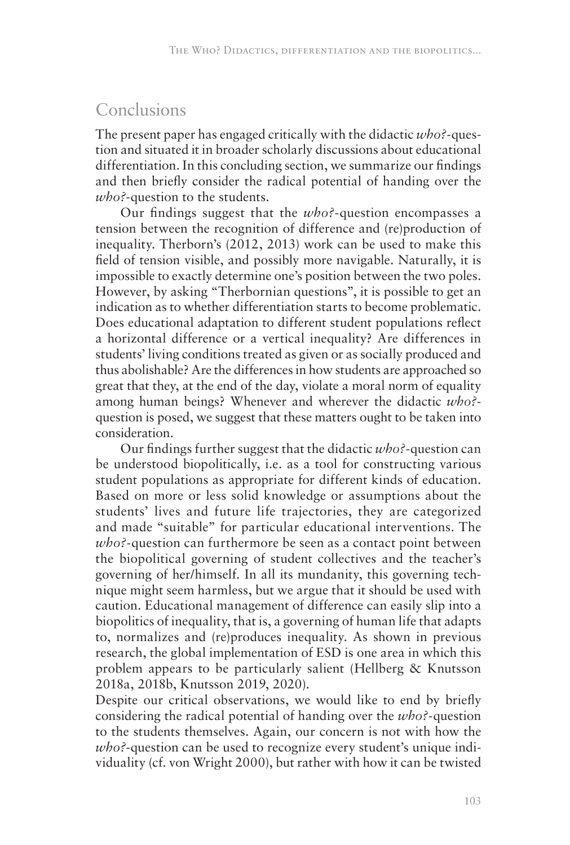# Conclusions

The present paper has engaged critically with the didactic *who?-*question and situated it in broader scholarly discussions about educational differentiation. In this concluding section, we summarize our findings and then briefly consider the radical potential of handing over the *who?*-question to the students.

Our findings suggest that the *who?-*question encompasses a tension between the recognition of difference and (re)production of inequality. Therborn's (2012, 2013) work can be used to make this field of tension visible, and possibly more navigable. Naturally, it is impossible to exactly determine one's position between the two poles. However, by asking "Therbornian questions", it is possible to get an indication as to whether differentiation starts to become problematic. Does educational adaptation to different student populations reflect a horizontal difference or a vertical inequality? Are differences in students' living conditions treated as given or as socially produced and thus abolishable? Are the differences in how students are approached so great that they, at the end of the day, violate a moral norm of equality among human beings? Whenever and wherever the didactic *who?* question is posed, we suggest that these matters ought to be taken into consideration.

Our findings further suggest that the didactic *who?-*question can be understood biopolitically, i.e. as a tool for constructing various student populations as appropriate for different kinds of education. Based on more or less solid knowledge or assumptions about the students' lives and future life trajectories, they are categorized and made "suitable" for particular educational interventions. The *who?-*question can furthermore be seen as a contact point between the biopolitical governing of student collectives and the teacher's governing of her/himself. In all its mundanity, this governing technique might seem harmless, but we argue that it should be used with caution. Educational management of difference can easily slip into a biopolitics of inequality, that is, a governing of human life that adapts to, normalizes and (re)produces inequality. As shown in previous research, the global implementation of ESD is one area in which this problem appears to be particularly salient (Hellberg & Knutsson 2018a, 2018b, Knutsson 2019, 2020).

Despite our critical observations, we would like to end by briefly considering the radical potential of handing over the *who?-*question to the students themselves. Again, our concern is not with how the *who?*-question can be used to recognize every student's unique individuality (cf. von Wright 2000), but rather with how it can be twisted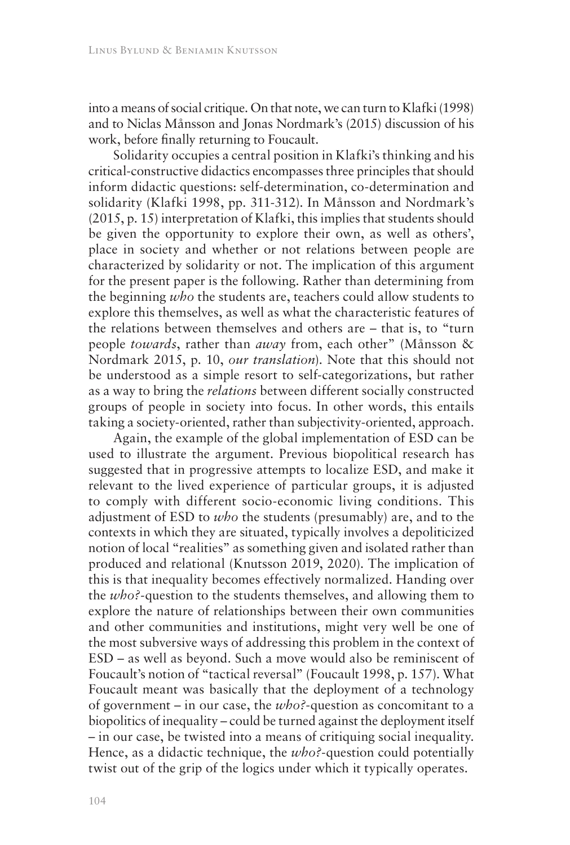into a means of social critique. On that note, we can turn to Klafki (1998) and to Niclas Månsson and Jonas Nordmark's (2015) discussion of his work, before finally returning to Foucault.

Solidarity occupies a central position in Klafki's thinking and his critical-constructive didactics encompasses three principles that should inform didactic questions: self-determination, co-determination and solidarity (Klafki 1998, pp. 311-312). In Månsson and Nordmark's (2015, p. 15) interpretation of Klafki, this implies that students should be given the opportunity to explore their own, as well as others', place in society and whether or not relations between people are characterized by solidarity or not. The implication of this argument for the present paper is the following. Rather than determining from the beginning *who* the students are, teachers could allow students to explore this themselves, as well as what the characteristic features of the relations between themselves and others are – that is, to "turn people *towards*, rather than *away* from, each other" (Månsson & Nordmark 2015, p. 10, *our translation*). Note that this should not be understood as a simple resort to self-categorizations, but rather as a way to bring the *relations* between different socially constructed groups of people in society into focus. In other words, this entails taking a society-oriented, rather than subjectivity-oriented, approach.

Again, the example of the global implementation of ESD can be used to illustrate the argument. Previous biopolitical research has suggested that in progressive attempts to localize ESD, and make it relevant to the lived experience of particular groups, it is adjusted to comply with different socio-economic living conditions. This adjustment of ESD to *who* the students (presumably) are, and to the contexts in which they are situated, typically involves a depoliticized notion of local "realities" as something given and isolated rather than produced and relational (Knutsson 2019, 2020). The implication of this is that inequality becomes effectively normalized. Handing over the *who?-*question to the students themselves, and allowing them to explore the nature of relationships between their own communities and other communities and institutions, might very well be one of the most subversive ways of addressing this problem in the context of ESD – as well as beyond. Such a move would also be reminiscent of Foucault's notion of "tactical reversal" (Foucault 1998, p. 157). What Foucault meant was basically that the deployment of a technology of government – in our case, the *who?*-question as concomitant to a biopolitics of inequality – could be turned against the deployment itself – in our case, be twisted into a means of critiquing social inequality. Hence, as a didactic technique, the *who?*-question could potentially twist out of the grip of the logics under which it typically operates.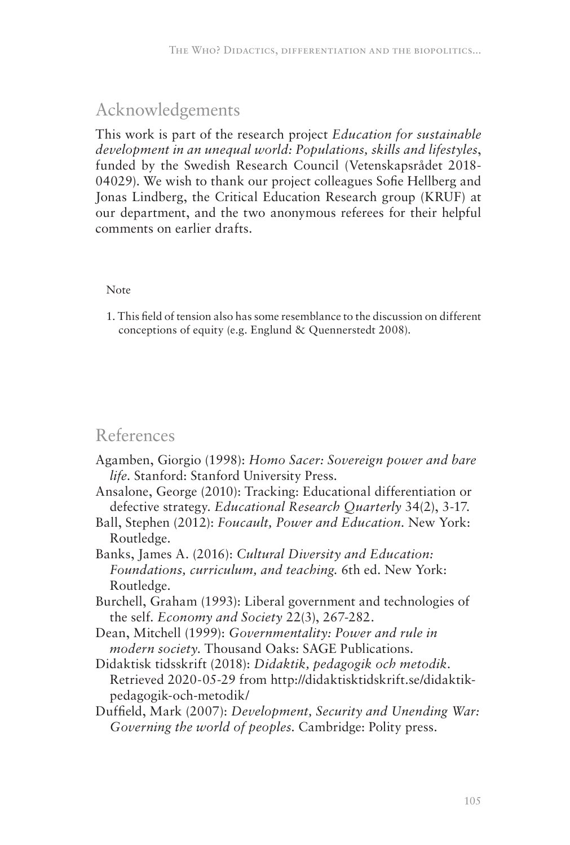# Acknowledgements

This work is part of the research project *Education for sustainable development in an unequal world: Populations, skills and lifestyles*, funded by the Swedish Research Council (Vetenskapsrådet 2018- 04029). We wish to thank our project colleagues Sofie Hellberg and Jonas Lindberg, the Critical Education Research group (KRUF) at our department, and the two anonymous referees for their helpful comments on earlier drafts.

#### Note

1. This field of tension also has some resemblance to the discussion on different conceptions of equity (e.g. Englund & Quennerstedt 2008).

## References

- Agamben, Giorgio (1998): *Homo Sacer: Sovereign power and bare life*. Stanford: Stanford University Press.
- Ansalone, George (2010): Tracking: Educational differentiation or defective strategy. *Educational Research Quarterly* 34(2), 3-17.
- Ball, Stephen (2012): *Foucault, Power and Education*. New York: Routledge.
- Banks, James A. (2016): *Cultural Diversity and Education: Foundations, curriculum, and teaching.* 6th ed. New York: Routledge.
- Burchell, Graham (1993): Liberal government and technologies of the self. *Economy and Society* 22(3), 267-282.
- Dean, Mitchell (1999): *Governmentality: Power and rule in modern society*. Thousand Oaks: SAGE Publications.
- Didaktisk tidsskrift (2018): *Didaktik, pedagogik och metodik*. Retrieved 2020-05-29 from http://didaktisktidskrift.se/didaktikpedagogik-och-metodik/
- Duffield, Mark (2007): *Development, Security and Unending War: Governing the world of peoples*. Cambridge: Polity press.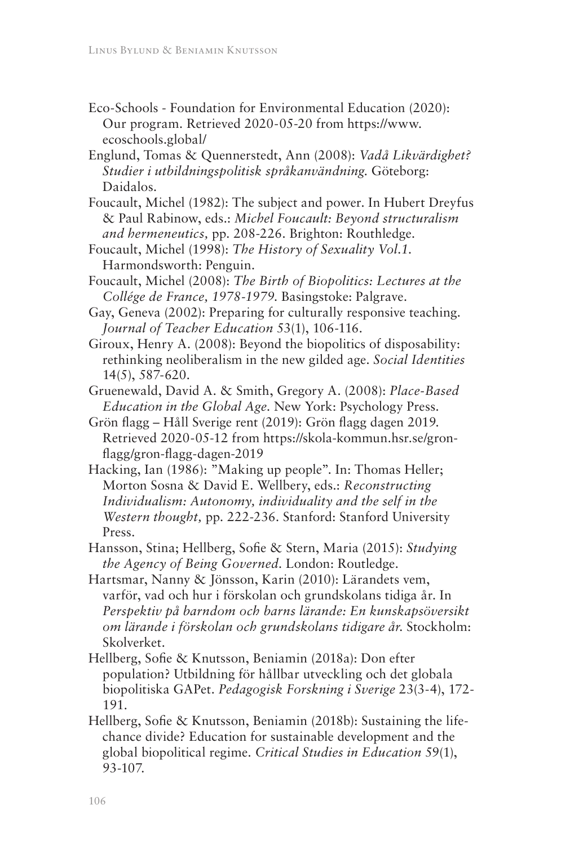- Eco-Schools Foundation for Environmental Education (2020): Our program. Retrieved 2020-05-20 from https://www. ecoschools.global/
- Englund, Tomas & Quennerstedt, Ann (2008): *Vadå Likvärdighet? Studier i utbildningspolitisk språkanvändning*. Göteborg: Daidalos.
- Foucault, Michel (1982): The subject and power. In Hubert Dreyfus & Paul Rabinow, eds.: *Michel Foucault: Beyond structuralism and hermeneutics,* pp. 208-226. Brighton: Routhledge.
- Foucault, Michel (1998): *The History of Sexuality Vol.1*. Harmondsworth: Penguin.
- Foucault, Michel (2008): *The Birth of Biopolitics: Lectures at the Collége de France, 1978-1979*. Basingstoke: Palgrave.
- Gay, Geneva (2002): Preparing for culturally responsive teaching. *Journal of Teacher Education* 53(1), 106-116.
- Giroux, Henry A. (2008): Beyond the biopolitics of disposability: rethinking neoliberalism in the new gilded age. *Social Identities*  14(5), 587-620.
- Gruenewald, David A. & Smith, Gregory A. (2008): *Place-Based Education in the Global Age*. New York: Psychology Press.
- Grön flagg Håll Sverige rent (2019): Grön flagg dagen 2019. Retrieved 2020-05-12 from https://skola-kommun.hsr.se/gronflagg/gron-flagg-dagen-2019
- Hacking, Ian (1986): "Making up people". In: Thomas Heller; Morton Sosna & David E. Wellbery, eds.: *Reconstructing Individualism: Autonomy, individuality and the self in the Western thought,* pp. 222-236. Stanford: Stanford University Press.
- Hansson, Stina; Hellberg, Sofie & Stern, Maria (2015): *Studying the Agency of Being Governed*. London: Routledge.
- Hartsmar, Nanny & Jönsson, Karin (2010): Lärandets vem, varför, vad och hur i förskolan och grundskolans tidiga år. In *Perspektiv på barndom och barns lärande: En kunskapsöversikt om lärande i förskolan och grundskolans tidigare år*. Stockholm: Skolverket.
- Hellberg, Sofie & Knutsson, Beniamin (2018a): Don efter population? Utbildning för hållbar utveckling och det globala biopolitiska GAPet. *Pedagogisk Forskning i Sverige* 23(3-4), 172- 191.
- Hellberg, Sofie & Knutsson, Beniamin (2018b): Sustaining the lifechance divide? Education for sustainable development and the global biopolitical regime. *Critical Studies in Education* 59(1), 93-107.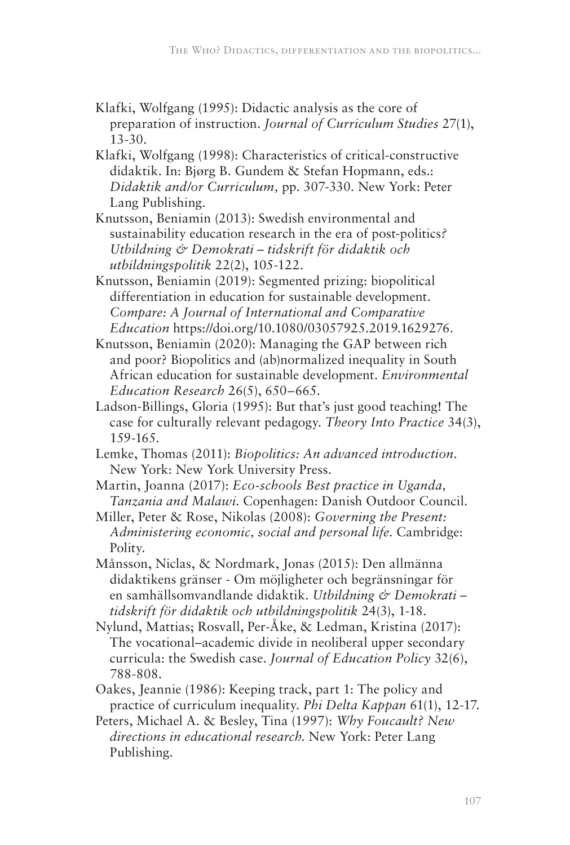- Klafki, Wolfgang (1995): Didactic analysis as the core of preparation of instruction. *Journal of Curriculum Studies* 27(1), 13-30.
- Klafki, Wolfgang (1998): Characteristics of critical-constructive didaktik. In: Bjørg B. Gundem & Stefan Hopmann, eds.: *Didaktik and/or Curriculum,* pp. 307-330. New York: Peter Lang Publishing.
- Knutsson, Beniamin (2013): Swedish environmental and sustainability education research in the era of post-politics*? Utbildning & Demokrati – tidskrift för didaktik och utbildningspolitik* 22(2), 105-122.
- Knutsson, Beniamin (2019): Segmented prizing: biopolitical differentiation in education for sustainable development. *Compare: A Journal of International and Comparative Education* https://doi.org/10.1080/03057925.2019.1629276.
- Knutsson, Beniamin (2020): Managing the GAP between rich and poor? Biopolitics and (ab)normalized inequality in South African education for sustainable development. *Environmental Education Research* 26(5), 650–665.
- Ladson-Billings, Gloria (1995): But that's just good teaching! The case for culturally relevant pedagogy. *Theory Into Practice* 34(3), 159-165.
- Lemke, Thomas (2011): *Biopolitics: An advanced introduction*. New York: New York University Press.
- Martin, Joanna (2017): *Eco-schools Best practice in Uganda, Tanzania and Malawi*. Copenhagen: Danish Outdoor Council.
- Miller, Peter & Rose, Nikolas (2008): *Governing the Present: Administering economic, social and personal life*. Cambridge: Polity.
- Månsson, Niclas, & Nordmark, Jonas (2015): Den allmänna didaktikens gränser - Om möjligheter och begränsningar för en samhällsomvandlande didaktik. *Utbildning & Demokrati – tidskrift för didaktik och utbildningspolitik* 24(3), 1-18.
- Nylund, Mattias; Rosvall, Per-Åke, & Ledman, Kristina (2017): The vocational–academic divide in neoliberal upper secondary curricula: the Swedish case. *Journal of Education Policy* 32(6), 788-808.
- Oakes, Jeannie (1986): Keeping track, part 1: The policy and practice of curriculum inequality. *Phi Delta Kappan* 61(1), 12-17.
- Peters, Michael A. & Besley, Tina (1997): *Why Foucault? New directions in educational research*. New York: Peter Lang Publishing.